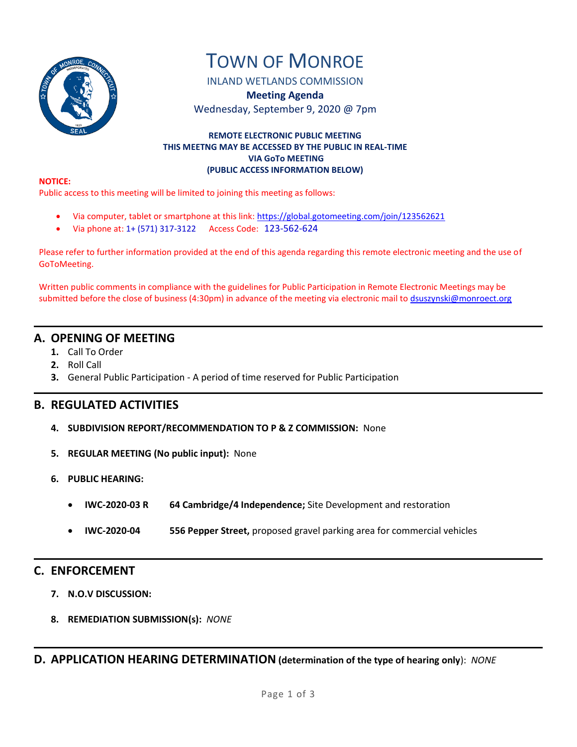

# TOWN OF MONROE

INLAND WETLANDS COMMISSION

**Meeting Agenda** Wednesday, September 9, 2020 @ 7pm

### **REMOTE ELECTRONIC PUBLIC MEETING THIS MEETNG MAY BE ACCESSED BY THE PUBLIC IN REAL-TIME VIA GoTo MEETING (PUBLIC ACCESS INFORMATION BELOW)**

#### **NOTICE:**

Public access to this meeting will be limited to joining this meeting as follows:

- Via computer, tablet or smartphone at this link: <https://global.gotomeeting.com/join/123562621>
- Via phone at: 1+ (571) 317-3122 Access Code: 123-562-624

Please refer to further information provided at the end of this agenda regarding this remote electronic meeting and the use of GoToMeeting.

Written public comments in compliance with the guidelines for Public Participation in Remote Electronic Meetings may be submitted before the close of business (4:30pm) in advance of the meeting via electronic mail t[o dsuszynski@monroect.org](mailto:dsuszynski@monroect.org)

# **A. OPENING OF MEETING**

- **1.** Call To Order
- **2.** Roll Call
- **3.** General Public Participation A period of time reserved for Public Participation

# **B. REGULATED ACTIVITIES**

- **4. SUBDIVISION REPORT/RECOMMENDATION TO P & Z COMMISSION:** None
- **5. REGULAR MEETING (No public input):** None
- **6. PUBLIC HEARING:** 
	- **IWC-2020-03 R 64 Cambridge/4 Independence;** Site Development and restoration
	- **IWC-2020-04 556 Pepper Street,** proposed gravel parking area for commercial vehicles

## **C. ENFORCEMENT**

- **7. N.O.V DISCUSSION:**
- **8. REMEDIATION SUBMISSION(s):** *NONE*

**D. APPLICATION HEARING DETERMINATION (determination of the type of hearing only**): *NONE*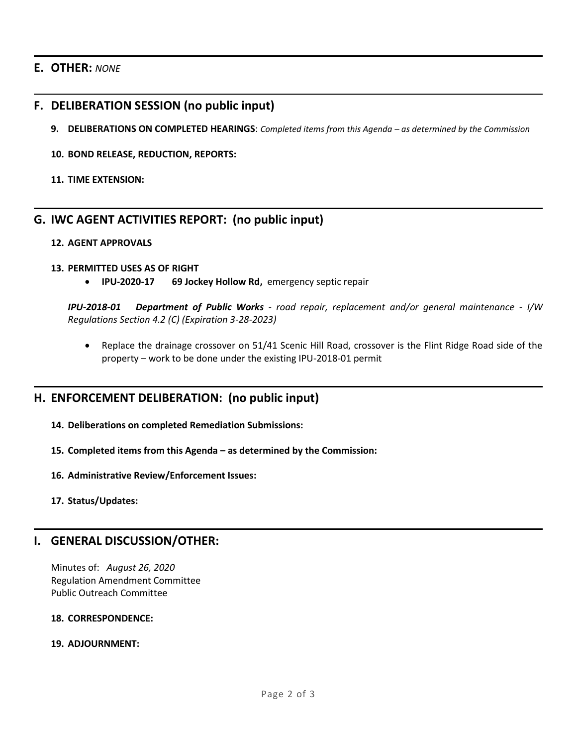## **E. OTHER:** *NONE*

## **F. DELIBERATION SESSION (no public input)**

- **9. DELIBERATIONS ON COMPLETED HEARINGS**: *Completed items from this Agenda – as determined by the Commission*
- **10. BOND RELEASE, REDUCTION, REPORTS:**
- **11. TIME EXTENSION:**

# **G. IWC AGENT ACTIVITIES REPORT: (no public input)**

## **12. AGENT APPROVALS**

## **13. PERMITTED USES AS OF RIGHT**

**IPU-2020-17 69 Jockey Hollow Rd,** emergency septic repair

*IPU-2018-01 Department of Public Works - road repair, replacement and/or general maintenance - I/W Regulations Section 4.2 (C) (Expiration 3-28-2023)*

• Replace the drainage crossover on 51/41 Scenic Hill Road, crossover is the Flint Ridge Road side of the property – work to be done under the existing IPU-2018-01 permit

# **H. ENFORCEMENT DELIBERATION: (no public input)**

- **14. Deliberations on completed Remediation Submissions:**
- **15. Completed items from this Agenda – as determined by the Commission:**
- **16. Administrative Review/Enforcement Issues:**
- **17. Status/Updates:**

## **I. GENERAL DISCUSSION/OTHER:**

Minutes of: *August 26, 2020* Regulation Amendment Committee Public Outreach Committee

### **18. CORRESPONDENCE:**

## **19. ADJOURNMENT:**